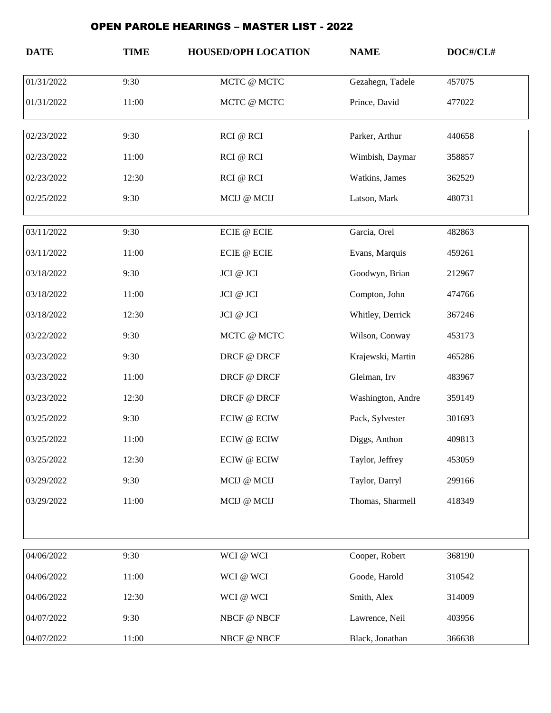## OPEN PAROLE HEARINGS – MASTER LIST - 2022

| <b>DATE</b> | <b>TIME</b> | <b>HOUSED/OPH LOCATION</b> | <b>NAME</b>       | DOC#/CL# |
|-------------|-------------|----------------------------|-------------------|----------|
| 01/31/2022  | 9:30        | MCTC @ MCTC                | Gezahegn, Tadele  | 457075   |
| 01/31/2022  | 11:00       | MCTC @ MCTC                | Prince, David     | 477022   |
| 02/23/2022  | 9:30        | RCI @ RCI                  | Parker, Arthur    | 440658   |
| 02/23/2022  | 11:00       | RCI @ RCI                  | Wimbish, Daymar   | 358857   |
| 02/23/2022  | 12:30       | RCI @ RCI                  | Watkins, James    | 362529   |
| 02/25/2022  | 9:30        | MCIJ @ MCIJ                | Latson, Mark      | 480731   |
| 03/11/2022  | 9:30        | $\rm ECIE$ @ $\rm ECIE$    | Garcia, Orel      | 482863   |
| 03/11/2022  | 11:00       | ECIE @ ECIE                | Evans, Marquis    | 459261   |
| 03/18/2022  | 9:30        | JCI @ JCI                  | Goodwyn, Brian    | 212967   |
| 03/18/2022  | 11:00       | JCI @ JCI                  | Compton, John     | 474766   |
| 03/18/2022  | 12:30       | JCI @ JCI                  | Whitley, Derrick  | 367246   |
| 03/22/2022  | 9:30        | MCTC @ MCTC                | Wilson, Conway    | 453173   |
| 03/23/2022  | 9:30        | DRCF @ DRCF                | Krajewski, Martin | 465286   |
| 03/23/2022  | 11:00       | DRCF @ DRCF                | Gleiman, Irv      | 483967   |
| 03/23/2022  | 12:30       | DRCF @ DRCF                | Washington, Andre | 359149   |
| 03/25/2022  | 9:30        | <b>ECIW @ ECIW</b>         | Pack, Sylvester   | 301693   |
| 03/25/2022  | 11:00       | <b>ECIW @ ECIW</b>         | Diggs, Anthon     | 409813   |
| 03/25/2022  | 12:30       | <b>ECIW @ ECIW</b>         | Taylor, Jeffrey   | 453059   |
| 03/29/2022  | 9:30        | MCIJ @ MCIJ                | Taylor, Darryl    | 299166   |
| 03/29/2022  | 11:00       | MCIJ @ MCIJ                | Thomas, Sharmell  | 418349   |
|             |             |                            |                   |          |
| 04/06/2022  | 9:30        | WCI @ WCI                  | Cooper, Robert    | 368190   |
| 04/06/2022  | 11:00       | WCI @ WCI                  | Goode, Harold     | 310542   |
| 04/06/2022  | 12:30       | WCI @ WCI                  | Smith, Alex       | 314009   |
| 04/07/2022  | 9:30        | NBCF @ NBCF                | Lawrence, Neil    | 403956   |
| 04/07/2022  | 11:00       | NBCF @ NBCF                | Black, Jonathan   | 366638   |